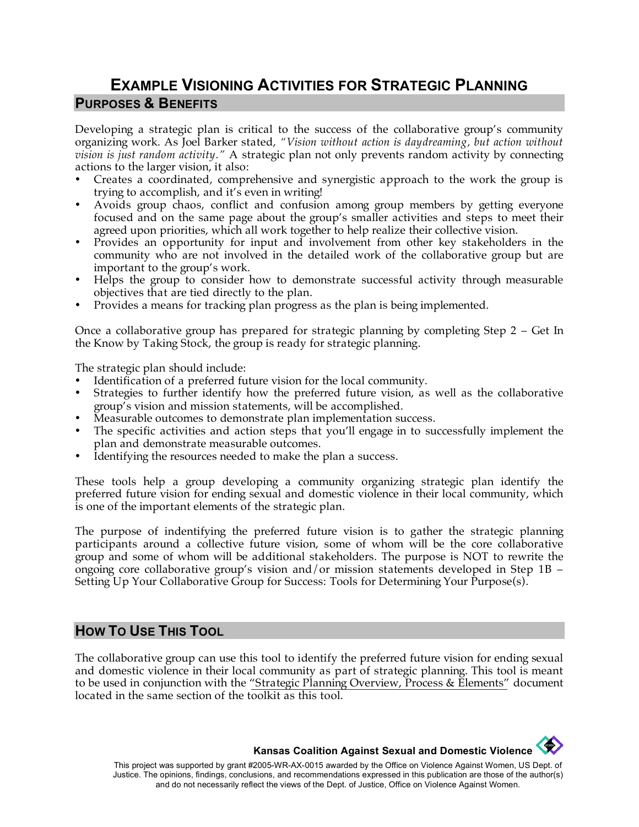## **EXAMPLE VISIONING ACTIVITIES FOR STRATEGIC PLANNING PURPOSES & BENEFITS**

Developing a strategic plan is critical to the success of the collaborative group's community organizing work. As Joel Barker stated, *"Vision without action is daydreaming, but action without vision is just random activity."* A strategic plan not only prevents random activity by connecting actions to the larger vision, it also:

- Creates a coordinated, comprehensive and synergistic approach to the work the group is trying to accomplish, and it's even in writing!
- Avoids group chaos, conflict and confusion among group members by getting everyone focused and on the same page about the group's smaller activities and steps to meet their agreed upon priorities, which all work together to help realize their collective vision.
- Provides an opportunity for input and involvement from other key stakeholders in the community who are not involved in the detailed work of the collaborative group but are important to the group's work.
- Helps the group to consider how to demonstrate successful activity through measurable objectives that are tied directly to the plan.
- Provides a means for tracking plan progress as the plan is being implemented.

Once a collaborative group has prepared for strategic planning by completing Step 2 – Get In the Know by Taking Stock, the group is ready for strategic planning.

The strategic plan should include:

- Identification of a preferred future vision for the local community.
- Strategies to further identify how the preferred future vision, as well as the collaborative group's vision and mission statements, will be accomplished.
- Measurable outcomes to demonstrate plan implementation success.
- The specific activities and action steps that you'll engage in to successfully implement the plan and demonstrate measurable outcomes.
- Identifying the resources needed to make the plan a success.

These tools help a group developing a community organizing strategic plan identify the preferred future vision for ending sexual and domestic violence in their local community, which is one of the important elements of the strategic plan.

The purpose of indentifying the preferred future vision is to gather the strategic planning participants around a collective future vision, some of whom will be the core collaborative group and some of whom will be additional stakeholders. The purpose is NOT to rewrite the ongoing core collaborative group's vision and/or mission statements developed in Step 1B – Setting Up Your Collaborative Group for Success: Tools for Determining Your Purpose(s).

#### **HOW TO USE THIS TOOL**

The collaborative group can use this tool to identify the preferred future vision for ending sexual and domestic violence in their local community as part of strategic planning. This tool is meant to be used in conjunction with the ["Strategic Planning Overview, Process & Elements"](http://www.kcsdv.org/toolkit/commorgtoolkit.html#Planning) document located in the same section of the toolkit as this tool.

> **Contract of the Second Kansas Coalition Against Sexual and Domestic Violence**

This project was supported by grant #2005-WR-AX-0015 awarded by the Office on Violence Against Women, US Dept. of Justice. The opinions, findings, conclusions, and recommendations expressed in this publication are those of the author(s) and do not necessarily reflect the views of the Dept. of Justice, Office on Violence Against Women.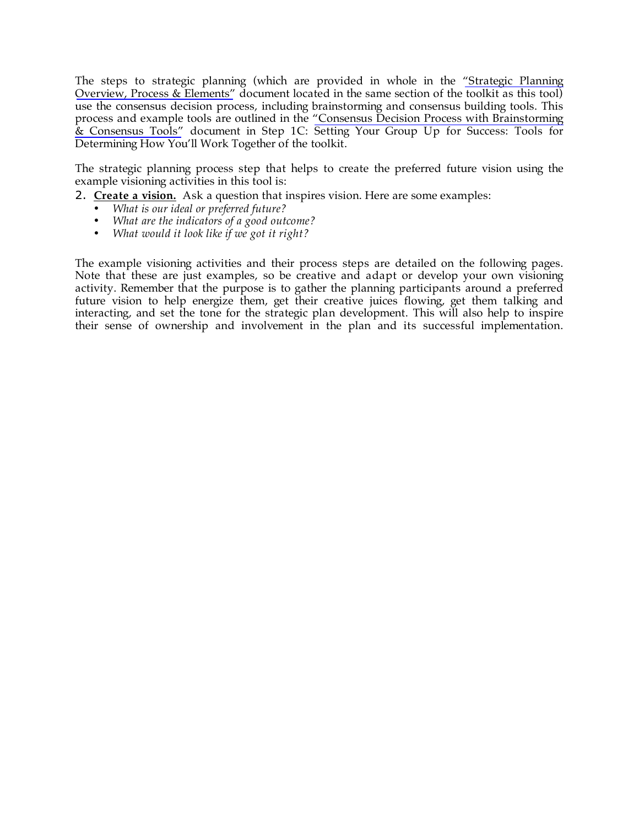The steps to strategic planning (which are provided in whole in the ["Strategic Planning](http://www.kcsdv.org/toolkit/commorgtoolkit.html#Planning)  [Overview, Process & Elements"](http://www.kcsdv.org/toolkit/commorgtoolkit.html#Planning) document located in the same section of the toolkit as this tool) use the consensus decision process, including brainstorming and consensus building tools. This process and example tools are outlined in the ["Consensus Decision Process with Brainstorming](http://www.kcsdv.org/toolkit/commorgtoolkit.html#Consensus) [& Consensus Tools"](http://www.kcsdv.org/toolkit/commorgtoolkit.html#Consensus) document in Step 1C: Setting Your Group Up for Success: Tools for Determining How You'll Work Together of the toolkit.

The strategic planning process step that helps to create the preferred future vision using the example visioning activities in this tool is:

- 2. **Create a vision.** Ask a question that inspires vision. Here are some examples:
	- *What is our ideal or preferred future?*
	- *What are the indicators of a good outcome?*
	- *What would it look like if we got it right?*

The example visioning activities and their process steps are detailed on the following pages. Note that these are just examples, so be creative and adapt or develop your own visioning activity. Remember that the purpose is to gather the planning participants around a preferred future vision to help energize them, get their creative juices flowing, get them talking and interacting, and set the tone for the strategic plan development. This will also help to inspire their sense of ownership and involvement in the plan and its successful implementation.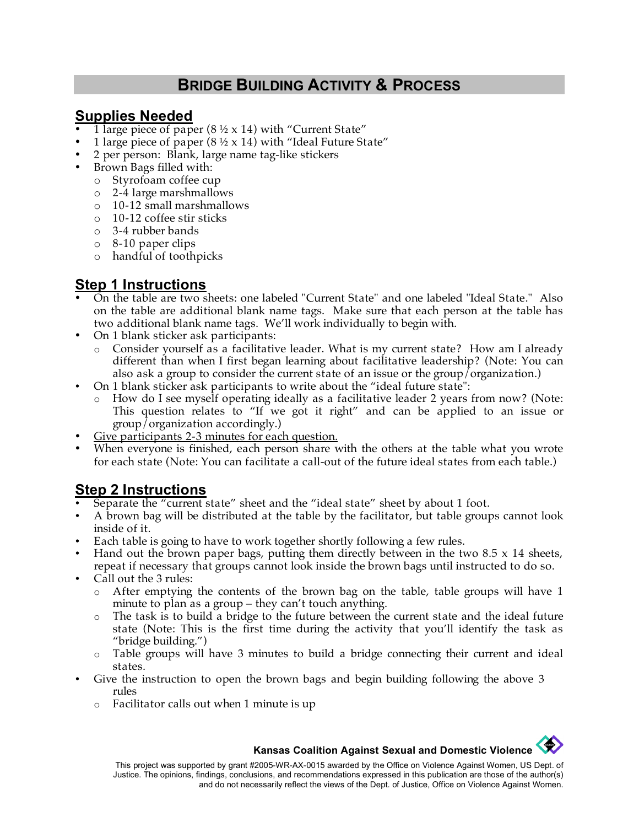# **BRIDGE BUILDING ACTIVITY & PROCESS**

### **Supplies Needed**

- 1 large piece of paper (8  $\frac{1}{2}$  x 14) with "Current State"
- 1 large piece of paper (8  $\frac{1}{2}$  x 14) with "Ideal Future State"
- 2 per person: Blank, large name tag-like stickers
- Brown Bags filled with:
	- o Styrofoam coffee cup
	- o 2-4 large marshmallows
	- o 10-12 small marshmallows
	- o 10-12 coffee stir sticks
	- o 3-4 rubber bands
	- o 8-10 paper clips
	- o handful of toothpicks

### **Step 1 Instructions**

- On the table are two sheets: one labeled "Current State" and one labeled "Ideal State." Also on the table are additional blank name tags. Make sure that each person at the table has two additional blank name tags. We'll work individually to begin with.
- On 1 blank sticker ask participants:
	- o Consider yourself as a facilitative leader. What is my current state? How am I already different than when I first began learning about facilitative leadership? (Note: You can also ask a group to consider the current state of an issue or the group/organization.)
- On 1 blank sticker ask participants to write about the "ideal future state":
	- How do I see myself operating ideally as a facilitative leader 2 years from now? (Note: This question relates to "If we got it right" and can be applied to an issue or group/organization accordingly.)
- Give participants 2-3 minutes for each question.
- When everyone is finished, each person share with the others at the table what you wrote for each state (Note: You can facilitate a call-out of the future ideal states from each table.)

# **Step 2 Instructions**

- Separate the "current state" sheet and the "ideal state" sheet by about 1 foot.
- A brown bag will be distributed at the table by the facilitator, but table groups cannot look inside of it.
- Each table is going to have to work together shortly following a few rules.
- Hand out the brown paper bags, putting them directly between in the two  $8.5 \times 14$  sheets, repeat if necessary that groups cannot look inside the brown bags until instructed to do so.
- Call out the 3 rules:
	- o After emptying the contents of the brown bag on the table, table groups will have 1 minute to plan as a group – they can't touch anything.
	- o The task is to build a bridge to the future between the current state and the ideal future state (Note: This is the first time during the activity that you'll identify the task as "bridge building.")
	- o Table groups will have 3 minutes to build a bridge connecting their current and ideal states.
- Give the instruction to open the brown bags and begin building following the above 3 rules
	- o Facilitator calls out when 1 minute is up

# **Kansas Coalition Against Sexual and Domestic Violence**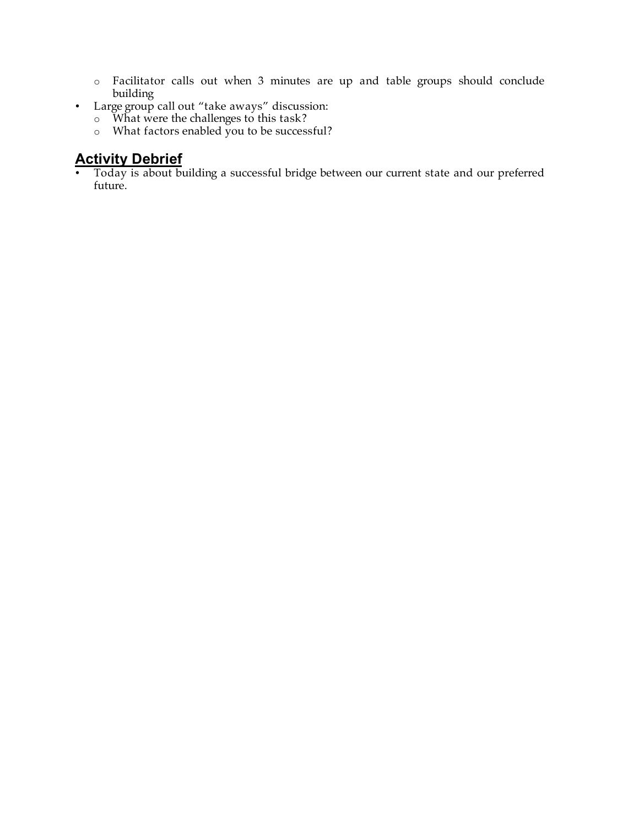- o Facilitator calls out when 3 minutes are up and table groups should conclude building
- Large group call out "take aways" discussion:
	- o What were the challenges to this task?
	- o What factors enabled you to be successful?

### **Activity Debrief**

• Today is about building a successful bridge between our current state and our preferred future.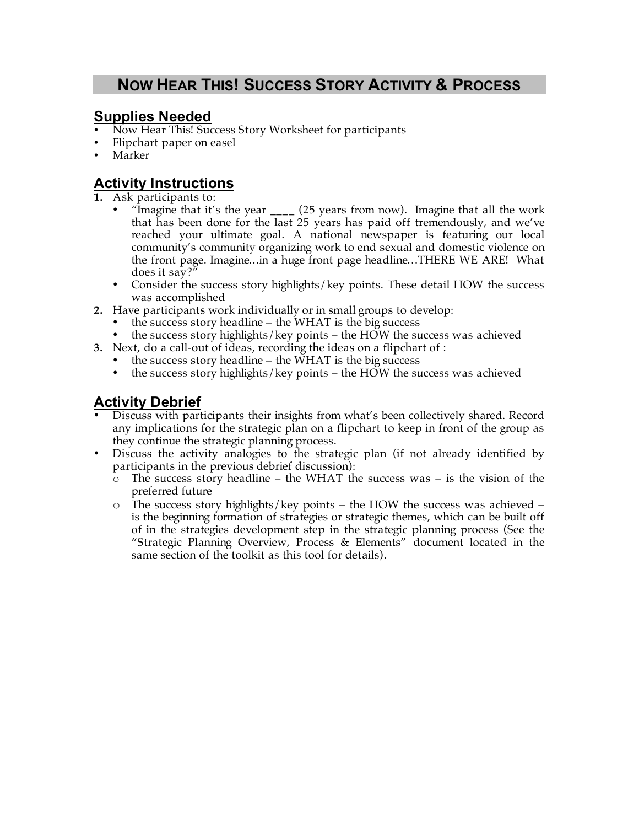# **NOW HEAR THIS! SUCCESS STORY ACTIVITY & PROCESS**

### **Supplies Needed**

- Now Hear This! Success Story Worksheet for participants
- Flipchart paper on easel
- Marker

## **Activity Instructions**

- **1.** Ask participants to:
	- "Imagine that it's the year <sub>\_\_\_\_</sub> (25 years from now). Imagine that all the work that has been done for the last 25 years has paid off tremendously, and we've reached your ultimate goal. A national newspaper is featuring our local community's community organizing work to end sexual and domestic violence on the front page. Imagine…in a huge front page headline…THERE WE ARE! What does it say?"
	- Consider the success story highlights/key points. These detail HOW the success was accomplished
- **2.** Have participants work individually or in small groups to develop:
	- the success story headline the WHAT is the big success
	- the success story highlights/key points the HOW the success was achieved
- **3.** Next, do a call-out of ideas, recording the ideas on a flipchart of :
	- the success story headline the WHAT is the big success
	- the success story highlights/key points the HOW the success was achieved

### **Activity Debrief**

- Discuss with participants their insights from what's been collectively shared. Record any implications for the strategic plan on a flipchart to keep in front of the group as they continue the strategic planning process.
- Discuss the activity analogies to the strategic plan (if not already identified by participants in the previous debrief discussion):
	- $\circ$  The success story headline the WHAT the success was is the vision of the preferred future
	- $\circ$  The success story highlights/key points the HOW the success was achieved is the beginning formation of strategies or strategic themes, which can be built off of in the strategies development step in the strategic planning process (See the "Strategic Planning Overview, Process & Elements" document located in the same section of the toolkit as this tool for details).